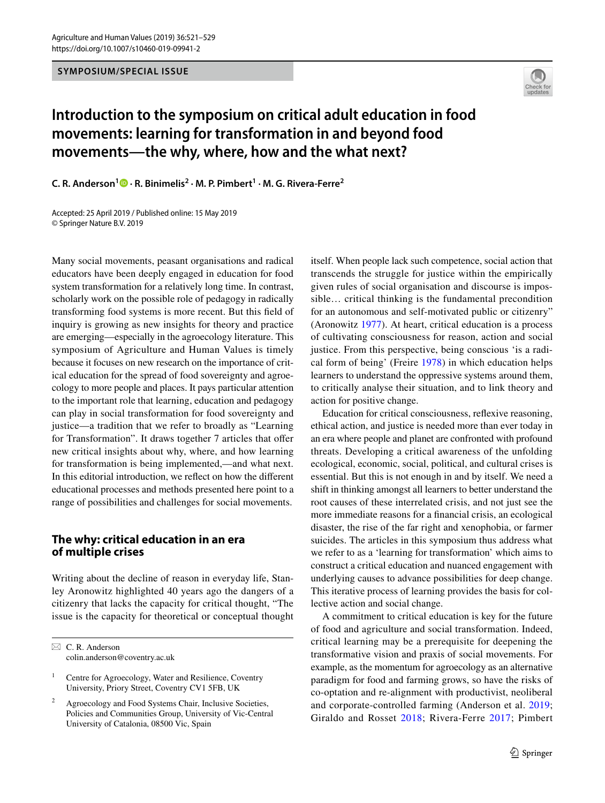#### **SYMPOSIUM/SPECIAL ISSUE**



# **Introduction to the symposium on critical adult education in food movements: learning for transformation in and beyond food movements—the why, where, how and the what next?**

**C. R. Anderson1 · R. Binimelis2 · M. P. Pimbert1 · M. G. Rivera‑Ferre<sup>2</sup>**

Accepted: 25 April 2019 / Published online: 15 May 2019 © Springer Nature B.V. 2019

Many social movements, peasant organisations and radical educators have been deeply engaged in education for food system transformation for a relatively long time. In contrast, scholarly work on the possible role of pedagogy in radically transforming food systems is more recent. But this feld of inquiry is growing as new insights for theory and practice are emerging—especially in the agroecology literature. This symposium of Agriculture and Human Values is timely because it focuses on new research on the importance of critical education for the spread of food sovereignty and agroecology to more people and places. It pays particular attention to the important role that learning, education and pedagogy can play in social transformation for food sovereignty and justice—a tradition that we refer to broadly as "Learning for Transformation". It draws together 7 articles that offer new critical insights about why, where, and how learning for transformation is being implemented,—and what next. In this editorial introduction, we refect on how the diferent educational processes and methods presented here point to a range of possibilities and challenges for social movements.

# **The why: critical education in an era of multiple crises**

Writing about the decline of reason in everyday life, Stanley Aronowitz highlighted 40 years ago the dangers of a citizenry that lacks the capacity for critical thought, "The issue is the capacity for theoretical or conceptual thought itself. When people lack such competence, social action that transcends the struggle for justice within the empirically given rules of social organisation and discourse is impossible… critical thinking is the fundamental precondition for an autonomous and self-motivated public or citizenry" (Aronowitz [1977\)](#page-7-0). At heart, critical education is a process of cultivating consciousness for reason, action and social justice. From this perspective, being conscious 'is a radical form of being' (Freire [1978](#page-7-1)) in which education helps learners to understand the oppressive systems around them, to critically analyse their situation, and to link theory and action for positive change.

Education for critical consciousness, refexive reasoning, ethical action, and justice is needed more than ever today in an era where people and planet are confronted with profound threats. Developing a critical awareness of the unfolding ecological, economic, social, political, and cultural crises is essential. But this is not enough in and by itself. We need a shift in thinking amongst all learners to better understand the root causes of these interrelated crisis, and not just see the more immediate reasons for a fnancial crisis, an ecological disaster, the rise of the far right and xenophobia, or farmer suicides. The articles in this symposium thus address what we refer to as a 'learning for transformation' which aims to construct a critical education and nuanced engagement with underlying causes to advance possibilities for deep change. This iterative process of learning provides the basis for collective action and social change.

A commitment to critical education is key for the future of food and agriculture and social transformation. Indeed, critical learning may be a prerequisite for deepening the transformative vision and praxis of social movements. For example, as the momentum for agroecology as an alternative paradigm for food and farming grows, so have the risks of co-optation and re-alignment with productivist, neoliberal and corporate-controlled farming (Anderson et al. [2019](#page-7-2); Giraldo and Rosset [2018;](#page-7-3) Rivera-Ferre [2017](#page-7-4); Pimbert

 $\boxtimes$  C. R. Anderson colin.anderson@coventry.ac.uk

<sup>&</sup>lt;sup>1</sup> Centre for Agroecology, Water and Resilience, Coventry University, Priory Street, Coventry CV1 5FB, UK

Agroecology and Food Systems Chair, Inclusive Societies, Policies and Communities Group, University of Vic-Central University of Catalonia, 08500 Vic, Spain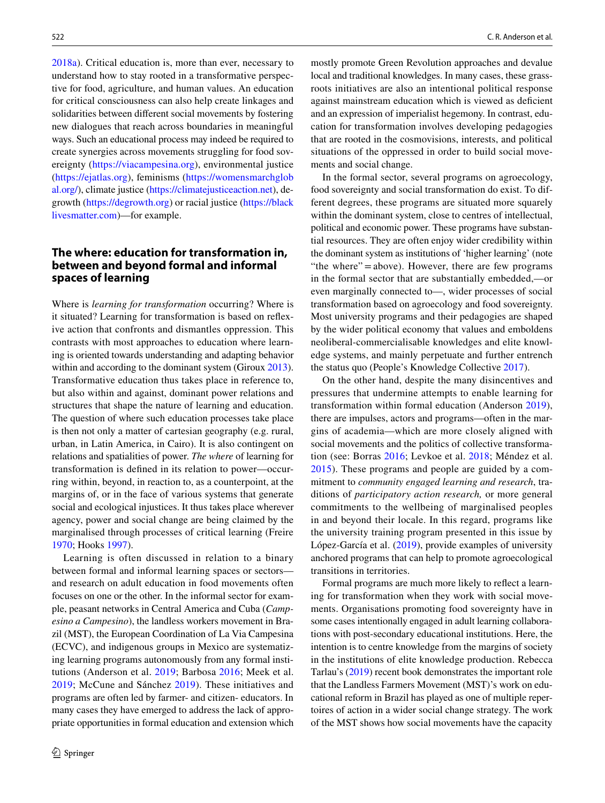[2018a\)](#page-7-5). Critical education is, more than ever, necessary to understand how to stay rooted in a transformative perspective for food, agriculture, and human values. An education for critical consciousness can also help create linkages and solidarities between diferent social movements by fostering new dialogues that reach across boundaries in meaningful ways. Such an educational process may indeed be required to create synergies across movements struggling for food sovereignty ([https://viacampesina.org\)](https://viacampesina.org), environmental justice [\(https://ejatlas.org\)](https://ejatlas.org), feminisms [\(https://womensmarchglob](https://womensmarchglobal.org/) [al.org/\)](https://womensmarchglobal.org/), climate justice [\(https://climatejusticeaction.net](https://climatejusticeaction.net)), degrowth [\(https://degrowth.org\)](https://degrowth.org) or racial justice ([https://black](https://blacklivesmatter.com) [livesmatter.com](https://blacklivesmatter.com))—for example.

# **The where: education for transformation in, between and beyond formal and informal spaces of learning**

Where is *learning for transformation* occurring? Where is it situated? Learning for transformation is based on refexive action that confronts and dismantles oppression. This contrasts with most approaches to education where learning is oriented towards understanding and adapting behavior within and according to the dominant system (Giroux [2013](#page-7-6)). Transformative education thus takes place in reference to, but also within and against, dominant power relations and structures that shape the nature of learning and education. The question of where such education processes take place is then not only a matter of cartesian geography (e.g. rural, urban, in Latin America, in Cairo). It is also contingent on relations and spatialities of power. *The where* of learning for transformation is defned in its relation to power—occurring within, beyond, in reaction to, as a counterpoint, at the margins of, or in the face of various systems that generate social and ecological injustices. It thus takes place wherever agency, power and social change are being claimed by the marginalised through processes of critical learning (Freire [1970](#page-7-7); Hooks [1997\)](#page-7-8).

Learning is often discussed in relation to a binary between formal and informal learning spaces or sectors and research on adult education in food movements often focuses on one or the other. In the informal sector for example, peasant networks in Central America and Cuba (*Campesino a Campesino*), the landless workers movement in Brazil (MST), the European Coordination of La Via Campesina (ECVC), and indigenous groups in Mexico are systematizing learning programs autonomously from any formal institutions (Anderson et al. [2019](#page-7-2); Barbosa [2016](#page-7-9); Meek et al. [2019;](#page-7-10) McCune and Sánchez [2019\)](#page-7-11). These initiatives and programs are often led by farmer- and citizen- educators. In many cases they have emerged to address the lack of appropriate opportunities in formal education and extension which mostly promote Green Revolution approaches and devalue local and traditional knowledges. In many cases, these grassroots initiatives are also an intentional political response against mainstream education which is viewed as defcient and an expression of imperialist hegemony. In contrast, education for transformation involves developing pedagogies that are rooted in the cosmovisions, interests, and political situations of the oppressed in order to build social movements and social change.

In the formal sector, several programs on agroecology, food sovereignty and social transformation do exist. To different degrees, these programs are situated more squarely within the dominant system, close to centres of intellectual, political and economic power. These programs have substantial resources. They are often enjoy wider credibility within the dominant system as institutions of 'higher learning' (note "the where"=above). However, there are few programs in the formal sector that are substantially embedded,—or even marginally connected to—, wider processes of social transformation based on agroecology and food sovereignty. Most university programs and their pedagogies are shaped by the wider political economy that values and emboldens neoliberal-commercialisable knowledges and elite knowledge systems, and mainly perpetuate and further entrench the status quo (People's Knowledge Collective [2017](#page-7-12)).

On the other hand, despite the many disincentives and pressures that undermine attempts to enable learning for transformation within formal education (Anderson [2019](#page-7-13)), there are impulses, actors and programs—often in the margins of academia—which are more closely aligned with social movements and the politics of collective transformation (see: Borras [2016;](#page-7-14) Levkoe et al. [2018](#page-7-15); Méndez et al. [2015\)](#page-7-16). These programs and people are guided by a commitment to *community engaged learning and research*, traditions of *participatory action research,* or more general commitments to the wellbeing of marginalised peoples in and beyond their locale. In this regard, programs like the university training program presented in this issue by López-García et al. [\(2019](#page-7-17)), provide examples of university anchored programs that can help to promote agroecological transitions in territories.

Formal programs are much more likely to refect a learning for transformation when they work with social movements. Organisations promoting food sovereignty have in some cases intentionally engaged in adult learning collaborations with post-secondary educational institutions. Here, the intention is to centre knowledge from the margins of society in the institutions of elite knowledge production. Rebecca Tarlau's ([2019\)](#page-8-0) recent book demonstrates the important role that the Landless Farmers Movement (MST)'s work on educational reform in Brazil has played as one of multiple repertoires of action in a wider social change strategy. The work of the MST shows how social movements have the capacity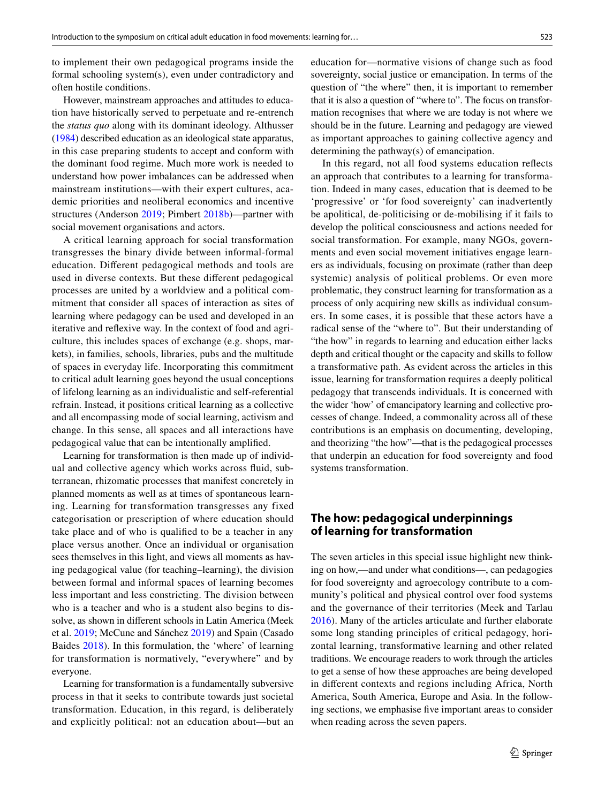to implement their own pedagogical programs inside the formal schooling system(s), even under contradictory and often hostile conditions.

However, mainstream approaches and attitudes to education have historically served to perpetuate and re-entrench the *status quo* along with its dominant ideology. Althusser [\(1984](#page-7-18)) described education as an ideological state apparatus, in this case preparing students to accept and conform with the dominant food regime. Much more work is needed to understand how power imbalances can be addressed when mainstream institutions—with their expert cultures, academic priorities and neoliberal economics and incentive structures (Anderson [2019](#page-7-13); Pimbert [2018b\)](#page-7-19)—partner with social movement organisations and actors.

A critical learning approach for social transformation transgresses the binary divide between informal-formal education. Diferent pedagogical methods and tools are used in diverse contexts. But these diferent pedagogical processes are united by a worldview and a political commitment that consider all spaces of interaction as sites of learning where pedagogy can be used and developed in an iterative and refexive way. In the context of food and agriculture, this includes spaces of exchange (e.g. shops, markets), in families, schools, libraries, pubs and the multitude of spaces in everyday life. Incorporating this commitment to critical adult learning goes beyond the usual conceptions of lifelong learning as an individualistic and self-referential refrain. Instead, it positions critical learning as a collective and all encompassing mode of social learning, activism and change. In this sense, all spaces and all interactions have pedagogical value that can be intentionally amplifed.

Learning for transformation is then made up of individual and collective agency which works across fuid, subterranean, rhizomatic processes that manifest concretely in planned moments as well as at times of spontaneous learning. Learning for transformation transgresses any fixed categorisation or prescription of where education should take place and of who is qualifed to be a teacher in any place versus another. Once an individual or organisation sees themselves in this light, and views all moments as having pedagogical value (for teaching–learning), the division between formal and informal spaces of learning becomes less important and less constricting. The division between who is a teacher and who is a student also begins to dissolve, as shown in diferent schools in Latin America (Meek et al. [2019;](#page-7-10) McCune and Sánchez [2019](#page-7-11)) and Spain (Casado Baides [2018](#page-7-20)). In this formulation, the 'where' of learning for transformation is normatively, "everywhere" and by everyone.

Learning for transformation is a fundamentally subversive process in that it seeks to contribute towards just societal transformation. Education, in this regard, is deliberately and explicitly political: not an education about—but an education for—normative visions of change such as food sovereignty, social justice or emancipation. In terms of the question of "the where" then, it is important to remember that it is also a question of "where to". The focus on transformation recognises that where we are today is not where we should be in the future. Learning and pedagogy are viewed as important approaches to gaining collective agency and determining the pathway(s) of emancipation.

In this regard, not all food systems education refects an approach that contributes to a learning for transformation. Indeed in many cases, education that is deemed to be 'progressive' or 'for food sovereignty' can inadvertently be apolitical, de-politicising or de-mobilising if it fails to develop the political consciousness and actions needed for social transformation. For example, many NGOs, governments and even social movement initiatives engage learners as individuals, focusing on proximate (rather than deep systemic) analysis of political problems. Or even more problematic, they construct learning for transformation as a process of only acquiring new skills as individual consumers. In some cases, it is possible that these actors have a radical sense of the "where to". But their understanding of "the how" in regards to learning and education either lacks depth and critical thought or the capacity and skills to follow a transformative path. As evident across the articles in this issue, learning for transformation requires a deeply political pedagogy that transcends individuals. It is concerned with the wider 'how' of emancipatory learning and collective processes of change. Indeed, a commonality across all of these contributions is an emphasis on documenting, developing, and theorizing "the how"—that is the pedagogical processes that underpin an education for food sovereignty and food systems transformation.

## **The how: pedagogical underpinnings of learning for transformation**

The seven articles in this special issue highlight new thinking on how,—and under what conditions—, can pedagogies for food sovereignty and agroecology contribute to a community's political and physical control over food systems and the governance of their territories (Meek and Tarlau [2016](#page-7-21)). Many of the articles articulate and further elaborate some long standing principles of critical pedagogy, horizontal learning, transformative learning and other related traditions. We encourage readers to work through the articles to get a sense of how these approaches are being developed in diferent contexts and regions including Africa, North America, South America, Europe and Asia. In the following sections, we emphasise fve important areas to consider when reading across the seven papers.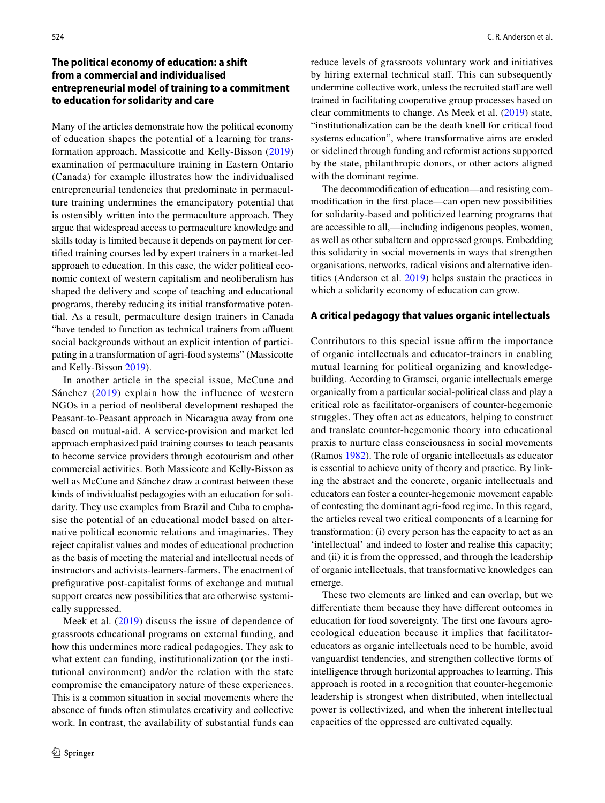# **The political economy of education: a shift from a commercial and individualised entrepreneurial model of training to a commitment to education for solidarity and care**

Many of the articles demonstrate how the political economy of education shapes the potential of a learning for transformation approach. Massicotte and Kelly-Bisson ([2019\)](#page-7-22) examination of permaculture training in Eastern Ontario (Canada) for example illustrates how the individualised entrepreneurial tendencies that predominate in permaculture training undermines the emancipatory potential that is ostensibly written into the permaculture approach. They argue that widespread access to permaculture knowledge and skills today is limited because it depends on payment for certifed training courses led by expert trainers in a market-led approach to education. In this case, the wider political economic context of western capitalism and neoliberalism has shaped the delivery and scope of teaching and educational programs, thereby reducing its initial transformative potential. As a result, permaculture design trainers in Canada "have tended to function as technical trainers from affluent social backgrounds without an explicit intention of participating in a transformation of agri-food systems" (Massicotte and Kelly-Bisson [2019\)](#page-7-22).

In another article in the special issue, McCune and Sánchez ([2019\)](#page-7-11) explain how the influence of western NGOs in a period of neoliberal development reshaped the Peasant-to-Peasant approach in Nicaragua away from one based on mutual-aid. A service-provision and market led approach emphasized paid training courses to teach peasants to become service providers through ecotourism and other commercial activities. Both Massicote and Kelly-Bisson as well as McCune and Sánchez draw a contrast between these kinds of individualist pedagogies with an education for solidarity. They use examples from Brazil and Cuba to emphasise the potential of an educational model based on alternative political economic relations and imaginaries. They reject capitalist values and modes of educational production as the basis of meeting the material and intellectual needs of instructors and activists-learners-farmers. The enactment of prefgurative post-capitalist forms of exchange and mutual support creates new possibilities that are otherwise systemically suppressed.

Meek et al. [\(2019](#page-7-10)) discuss the issue of dependence of grassroots educational programs on external funding, and how this undermines more radical pedagogies. They ask to what extent can funding, institutionalization (or the institutional environment) and/or the relation with the state compromise the emancipatory nature of these experiences. This is a common situation in social movements where the absence of funds often stimulates creativity and collective work. In contrast, the availability of substantial funds can reduce levels of grassroots voluntary work and initiatives by hiring external technical staff. This can subsequently undermine collective work, unless the recruited staff are well trained in facilitating cooperative group processes based on clear commitments to change. As Meek et al. ([2019\)](#page-7-10) state, "institutionalization can be the death knell for critical food systems education", where transformative aims are eroded or sidelined through funding and reformist actions supported by the state, philanthropic donors, or other actors aligned with the dominant regime.

The decommodifcation of education—and resisting commodifcation in the frst place—can open new possibilities for solidarity-based and politicized learning programs that are accessible to all,—including indigenous peoples, women, as well as other subaltern and oppressed groups. Embedding this solidarity in social movements in ways that strengthen organisations, networks, radical visions and alternative identities (Anderson et al. [2019](#page-7-2)) helps sustain the practices in which a solidarity economy of education can grow.

#### **A critical pedagogy that values organic intellectuals**

Contributors to this special issue affirm the importance of organic intellectuals and educator-trainers in enabling mutual learning for political organizing and knowledgebuilding. According to Gramsci, organic intellectuals emerge organically from a particular social-political class and play a critical role as facilitator-organisers of counter-hegemonic struggles. They often act as educators, helping to construct and translate counter-hegemonic theory into educational praxis to nurture class consciousness in social movements (Ramos [1982](#page-7-23)). The role of organic intellectuals as educator is essential to achieve unity of theory and practice. By linking the abstract and the concrete, organic intellectuals and educators can foster a counter-hegemonic movement capable of contesting the dominant agri-food regime. In this regard, the articles reveal two critical components of a learning for transformation: (i) every person has the capacity to act as an 'intellectual' and indeed to foster and realise this capacity; and (ii) it is from the oppressed, and through the leadership of organic intellectuals, that transformative knowledges can emerge.

These two elements are linked and can overlap, but we diferentiate them because they have diferent outcomes in education for food sovereignty. The frst one favours agroecological education because it implies that facilitatoreducators as organic intellectuals need to be humble, avoid vanguardist tendencies, and strengthen collective forms of intelligence through horizontal approaches to learning. This approach is rooted in a recognition that counter-hegemonic leadership is strongest when distributed, when intellectual power is collectivized, and when the inherent intellectual capacities of the oppressed are cultivated equally.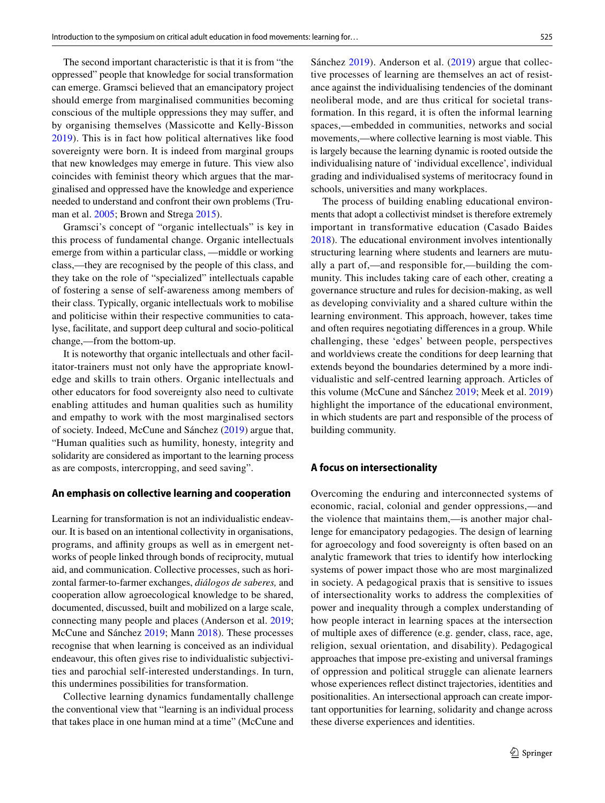The second important characteristic is that it is from "the oppressed" people that knowledge for social transformation can emerge. Gramsci believed that an emancipatory project should emerge from marginalised communities becoming conscious of the multiple oppressions they may sufer, and by organising themselves (Massicotte and Kelly-Bisson [2019\)](#page-7-22). This is in fact how political alternatives like food sovereignty were born. It is indeed from marginal groups that new knowledges may emerge in future. This view also coincides with feminist theory which argues that the marginalised and oppressed have the knowledge and experience needed to understand and confront their own problems (Truman et al. [2005;](#page-8-1) Brown and Strega [2015](#page-7-24)).

Gramsci's concept of "organic intellectuals" is key in this process of fundamental change. Organic intellectuals emerge from within a particular class, —middle or working class,—they are recognised by the people of this class, and they take on the role of "specialized" intellectuals capable of fostering a sense of self-awareness among members of their class. Typically, organic intellectuals work to mobilise and politicise within their respective communities to catalyse, facilitate, and support deep cultural and socio-political change,—from the bottom-up.

It is noteworthy that organic intellectuals and other facilitator-trainers must not only have the appropriate knowledge and skills to train others. Organic intellectuals and other educators for food sovereignty also need to cultivate enabling attitudes and human qualities such as humility and empathy to work with the most marginalised sectors of society. Indeed, McCune and Sánchez ([2019\)](#page-7-11) argue that, "Human qualities such as humility, honesty, integrity and solidarity are considered as important to the learning process as are composts, intercropping, and seed saving".

## **An emphasis on collective learning and cooperation**

Learning for transformation is not an individualistic endeavour. It is based on an intentional collectivity in organisations, programs, and afnity groups as well as in emergent networks of people linked through bonds of reciprocity, mutual aid, and communication. Collective processes, such as horizontal farmer-to-farmer exchanges, *diálogos de saberes,* and cooperation allow agroecological knowledge to be shared, documented, discussed, built and mobilized on a large scale, connecting many people and places (Anderson et al. [2019](#page-7-2); McCune and Sánchez [2019;](#page-7-11) Mann [2018\)](#page-7-25). These processes recognise that when learning is conceived as an individual endeavour, this often gives rise to individualistic subjectivities and parochial self-interested understandings. In turn, this undermines possibilities for transformation.

Collective learning dynamics fundamentally challenge the conventional view that "learning is an individual process that takes place in one human mind at a time" (McCune and Sánchez [2019](#page-7-11)). Anderson et al. ([2019\)](#page-7-2) argue that collective processes of learning are themselves an act of resistance against the individualising tendencies of the dominant neoliberal mode, and are thus critical for societal transformation. In this regard, it is often the informal learning spaces,—embedded in communities, networks and social movements,—where collective learning is most viable. This is largely because the learning dynamic is rooted outside the individualising nature of 'individual excellence', individual grading and individualised systems of meritocracy found in schools, universities and many workplaces.

The process of building enabling educational environments that adopt a collectivist mindset is therefore extremely important in transformative education (Casado Baides [2018](#page-7-20)). The educational environment involves intentionally structuring learning where students and learners are mutually a part of,—and responsible for,—building the community. This includes taking care of each other, creating a governance structure and rules for decision-making, as well as developing conviviality and a shared culture within the learning environment. This approach, however, takes time and often requires negotiating diferences in a group. While challenging, these 'edges' between people, perspectives and worldviews create the conditions for deep learning that extends beyond the boundaries determined by a more individualistic and self-centred learning approach. Articles of this volume (McCune and Sánchez [2019;](#page-7-11) Meek et al. [2019](#page-7-10)) highlight the importance of the educational environment, in which students are part and responsible of the process of building community.

### **A focus on intersectionality**

Overcoming the enduring and interconnected systems of economic, racial, colonial and gender oppressions,—and the violence that maintains them,—is another major challenge for emancipatory pedagogies. The design of learning for agroecology and food sovereignty is often based on an analytic framework that tries to identify how interlocking systems of power impact those who are most marginalized in society. A pedagogical praxis that is sensitive to issues of intersectionality works to address the complexities of power and inequality through a complex understanding of how people interact in learning spaces at the intersection of multiple axes of diference (e.g. gender, class, race, age, religion, sexual orientation, and disability). Pedagogical approaches that impose pre-existing and universal framings of oppression and political struggle can alienate learners whose experiences refect distinct trajectories, identities and positionalities. An intersectional approach can create important opportunities for learning, solidarity and change across these diverse experiences and identities.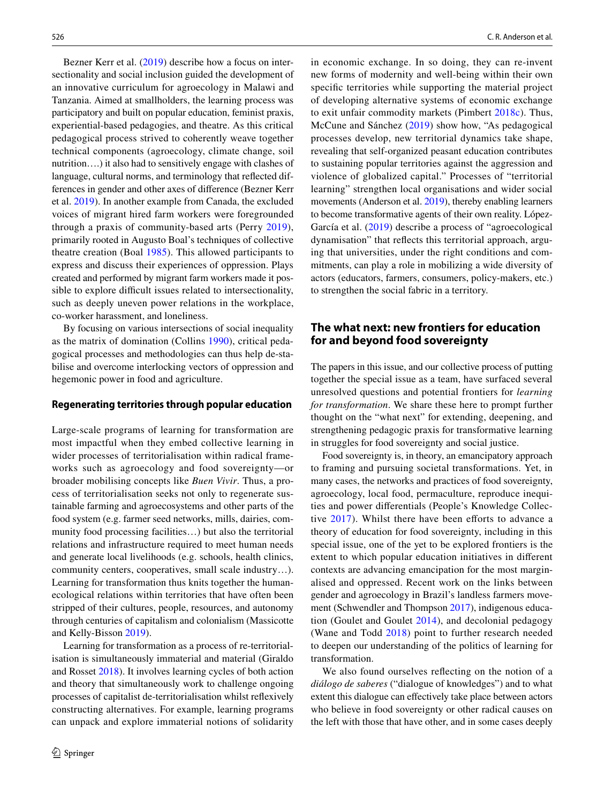Bezner Kerr et al. ([2019\)](#page-7-26) describe how a focus on intersectionality and social inclusion guided the development of an innovative curriculum for agroecology in Malawi and Tanzania. Aimed at smallholders, the learning process was participatory and built on popular education, feminist praxis, experiential-based pedagogies, and theatre. As this critical pedagogical process strived to coherently weave together technical components (agroecology, climate change, soil nutrition….) it also had to sensitively engage with clashes of language, cultural norms, and terminology that refected differences in gender and other axes of diference (Bezner Kerr et al. [2019](#page-7-26)). In another example from Canada, the excluded voices of migrant hired farm workers were foregrounded through a praxis of community-based arts (Perry [2019](#page-7-27)), primarily rooted in Augusto Boal's techniques of collective theatre creation (Boal [1985\)](#page-7-28). This allowed participants to express and discuss their experiences of oppression. Plays created and performed by migrant farm workers made it possible to explore difficult issues related to intersectionality, such as deeply uneven power relations in the workplace, co-worker harassment, and loneliness.

By focusing on various intersections of social inequality as the matrix of domination (Collins [1990\)](#page-7-29), critical pedagogical processes and methodologies can thus help de-stabilise and overcome interlocking vectors of oppression and hegemonic power in food and agriculture.

#### **Regenerating territories through popular education**

Large-scale programs of learning for transformation are most impactful when they embed collective learning in wider processes of territorialisation within radical frameworks such as agroecology and food sovereignty—or broader mobilising concepts like *Buen Vivir*. Thus, a process of territorialisation seeks not only to regenerate sustainable farming and agroecosystems and other parts of the food system (e.g. farmer seed networks, mills, dairies, community food processing facilities…) but also the territorial relations and infrastructure required to meet human needs and generate local livelihoods (e.g. schools, health clinics, community centers, cooperatives, small scale industry…). Learning for transformation thus knits together the humanecological relations within territories that have often been stripped of their cultures, people, resources, and autonomy through centuries of capitalism and colonialism (Massicotte and Kelly-Bisson [2019\)](#page-7-22).

Learning for transformation as a process of re-territorialisation is simultaneously immaterial and material (Giraldo and Rosset [2018](#page-7-3)). It involves learning cycles of both action and theory that simultaneously work to challenge ongoing processes of capitalist de-territorialisation whilst refexively constructing alternatives. For example, learning programs can unpack and explore immaterial notions of solidarity in economic exchange. In so doing, they can re-invent new forms of modernity and well-being within their own specifc territories while supporting the material project of developing alternative systems of economic exchange to exit unfair commodity markets (Pimbert [2018c](#page-7-30)). Thus, McCune and Sánchez ([2019](#page-7-11)) show how, "As pedagogical processes develop, new territorial dynamics take shape, revealing that self-organized peasant education contributes to sustaining popular territories against the aggression and violence of globalized capital." Processes of "territorial learning" strengthen local organisations and wider social movements (Anderson et al. [2019\)](#page-7-2), thereby enabling learners to become transformative agents of their own reality. López-García et al. ([2019](#page-7-17)) describe a process of "agroecological dynamisation" that refects this territorial approach, arguing that universities, under the right conditions and commitments, can play a role in mobilizing a wide diversity of actors (educators, farmers, consumers, policy-makers, etc.) to strengthen the social fabric in a territory.

# **The what next: new frontiers for education for and beyond food sovereignty**

The papers in this issue, and our collective process of putting together the special issue as a team, have surfaced several unresolved questions and potential frontiers for *learning for transformation*. We share these here to prompt further thought on the "what next" for extending, deepening, and strengthening pedagogic praxis for transformative learning in struggles for food sovereignty and social justice.

Food sovereignty is, in theory, an emancipatory approach to framing and pursuing societal transformations. Yet, in many cases, the networks and practices of food sovereignty, agroecology, local food, permaculture, reproduce inequities and power diferentials (People's Knowledge Collective  $2017$ ). Whilst there have been efforts to advance a theory of education for food sovereignty, including in this special issue, one of the yet to be explored frontiers is the extent to which popular education initiatives in diferent contexts are advancing emancipation for the most marginalised and oppressed. Recent work on the links between gender and agroecology in Brazil's landless farmers movement (Schwendler and Thompson [2017](#page-8-2)), indigenous education (Goulet and Goulet [2014](#page-7-31)), and decolonial pedagogy (Wane and Todd [2018\)](#page-8-3) point to further research needed to deepen our understanding of the politics of learning for transformation.

We also found ourselves refecting on the notion of a *diálogo de saberes* ("dialogue of knowledges") and to what extent this dialogue can efectively take place between actors who believe in food sovereignty or other radical causes on the left with those that have other, and in some cases deeply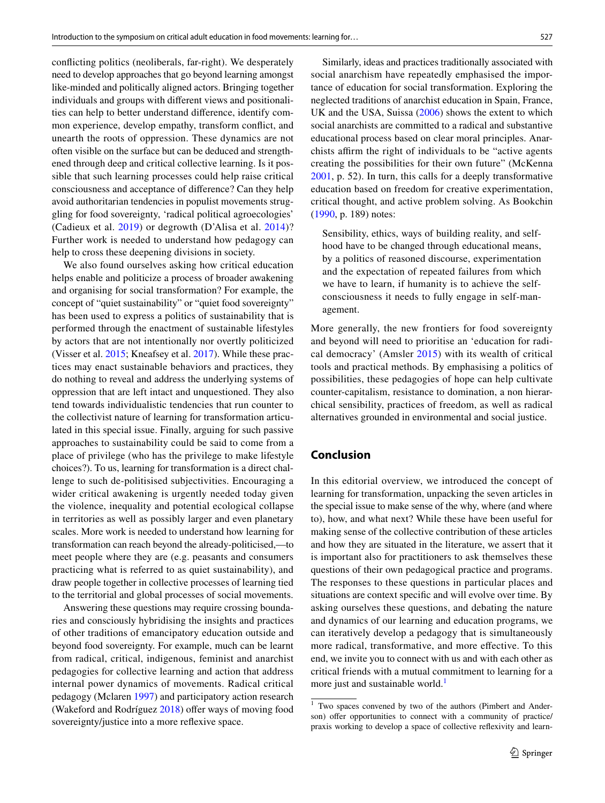conficting politics (neoliberals, far-right). We desperately need to develop approaches that go beyond learning amongst like-minded and politically aligned actors. Bringing together individuals and groups with diferent views and positionalities can help to better understand diference, identify common experience, develop empathy, transform confict, and unearth the roots of oppression. These dynamics are not often visible on the surface but can be deduced and strengthened through deep and critical collective learning. Is it possible that such learning processes could help raise critical consciousness and acceptance of diference? Can they help avoid authoritarian tendencies in populist movements struggling for food sovereignty, 'radical political agroecologies' (Cadieux et al. [2019](#page-7-32)) or degrowth (D'Alisa et al. [2014](#page-7-33))? Further work is needed to understand how pedagogy can help to cross these deepening divisions in society.

We also found ourselves asking how critical education helps enable and politicize a process of broader awakening and organising for social transformation? For example, the concept of "quiet sustainability" or "quiet food sovereignty" has been used to express a politics of sustainability that is performed through the enactment of sustainable lifestyles by actors that are not intentionally nor overtly politicized (Visser et al. [2015;](#page-8-4) Kneafsey et al. [2017](#page-7-34)). While these practices may enact sustainable behaviors and practices, they do nothing to reveal and address the underlying systems of oppression that are left intact and unquestioned. They also tend towards individualistic tendencies that run counter to the collectivist nature of learning for transformation articulated in this special issue. Finally, arguing for such passive approaches to sustainability could be said to come from a place of privilege (who has the privilege to make lifestyle choices?). To us, learning for transformation is a direct challenge to such de-politisised subjectivities. Encouraging a wider critical awakening is urgently needed today given the violence, inequality and potential ecological collapse in territories as well as possibly larger and even planetary scales. More work is needed to understand how learning for transformation can reach beyond the already-politicised,—to meet people where they are (e.g. peasants and consumers practicing what is referred to as quiet sustainability), and draw people together in collective processes of learning tied to the territorial and global processes of social movements.

Answering these questions may require crossing boundaries and consciously hybridising the insights and practices of other traditions of emancipatory education outside and beyond food sovereignty. For example, much can be learnt from radical, critical, indigenous, feminist and anarchist pedagogies for collective learning and action that address internal power dynamics of movements. Radical critical pedagogy (Mclaren [1997\)](#page-7-35) and participatory action research (Wakeford and Rodríguez  $2018$ ) offer ways of moving food sovereignty/justice into a more reflexive space.

Similarly, ideas and practices traditionally associated with social anarchism have repeatedly emphasised the importance of education for social transformation. Exploring the neglected traditions of anarchist education in Spain, France, UK and the USA, Suissa ([2006](#page-8-6)) shows the extent to which social anarchists are committed to a radical and substantive educational process based on clear moral principles. Anarchists afrm the right of individuals to be "active agents creating the possibilities for their own future" (McKenna [2001](#page-7-36), p. 52). In turn, this calls for a deeply transformative education based on freedom for creative experimentation, critical thought, and active problem solving. As Bookchin ([1990,](#page-7-37) p. 189) notes:

Sensibility, ethics, ways of building reality, and selfhood have to be changed through educational means, by a politics of reasoned discourse, experimentation and the expectation of repeated failures from which we have to learn, if humanity is to achieve the selfconsciousness it needs to fully engage in self-management.

More generally, the new frontiers for food sovereignty and beyond will need to prioritise an 'education for radical democracy' (Amsler [2015](#page-7-38)) with its wealth of critical tools and practical methods. By emphasising a politics of possibilities, these pedagogies of hope can help cultivate counter-capitalism, resistance to domination, a non hierarchical sensibility, practices of freedom, as well as radical alternatives grounded in environmental and social justice.

## **Conclusion**

In this editorial overview, we introduced the concept of learning for transformation, unpacking the seven articles in the special issue to make sense of the why, where (and where to), how, and what next? While these have been useful for making sense of the collective contribution of these articles and how they are situated in the literature, we assert that it is important also for practitioners to ask themselves these questions of their own pedagogical practice and programs. The responses to these questions in particular places and situations are context specifc and will evolve over time. By asking ourselves these questions, and debating the nature and dynamics of our learning and education programs, we can iteratively develop a pedagogy that is simultaneously more radical, transformative, and more efective. To this end, we invite you to connect with us and with each other as critical friends with a mutual commitment to learning for a more just and sustainable world.<sup>[1](#page-6-0)</sup>

<span id="page-6-0"></span><sup>1</sup> Two spaces convened by two of the authors (Pimbert and Anderson) offer opportunities to connect with a community of practice/ praxis working to develop a space of collective refexivity and learn-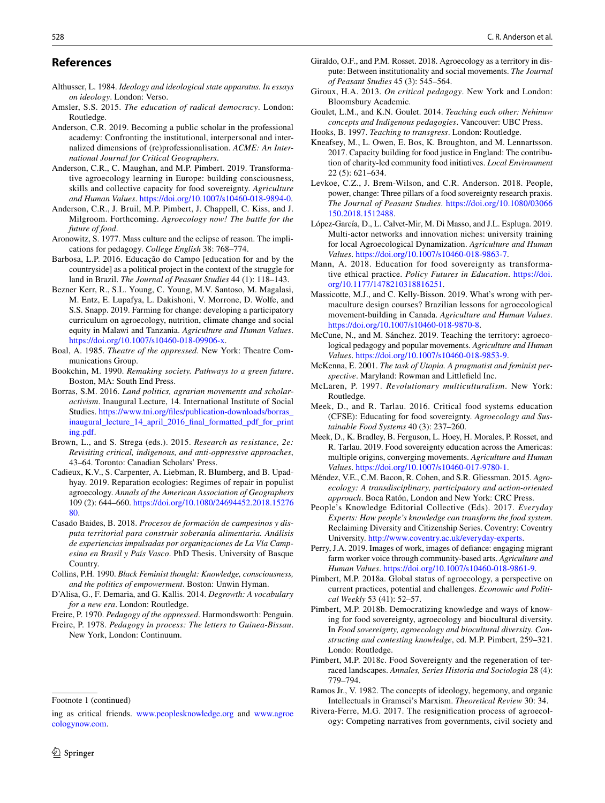### **References**

- <span id="page-7-18"></span>Althusser, L. 1984. *Ideology and ideological state apparatus. In essays on ideology*. London: Verso.
- <span id="page-7-38"></span>Amsler, S.S. 2015. *The education of radical democracy*. London: Routledge.
- <span id="page-7-13"></span>Anderson, C.R. 2019. Becoming a public scholar in the professional academy: Confronting the institutional, interpersonal and internalized dimensions of (re)professionalisation. *ACME: An International Journal for Critical Geographers*.
- <span id="page-7-2"></span>Anderson, C.R., C. Maughan, and M.P. Pimbert. 2019. Transformative agroecology learning in Europe: building consciousness, skills and collective capacity for food sovereignty. *Agriculture and Human Values*.<https://doi.org/10.1007/s10460-018-9894-0>.
- Anderson, C.R., J. Bruil, M.P. Pimbert, J. Chappell, C. Kiss, and J. Milgroom. Forthcoming. *Agroecology now! The battle for the future of food*.
- <span id="page-7-0"></span>Aronowitz, S. 1977. Mass culture and the eclipse of reason. The implications for pedagogy. *College English* 38: 768–774.
- <span id="page-7-9"></span>Barbosa, L.P. 2016. Educação do Campo [education for and by the countryside] as a political project in the context of the struggle for land in Brazil. *The Journal of Peasant Studies* 44 (1): 118–143.
- <span id="page-7-26"></span>Bezner Kerr, R., S.L. Young, C. Young, M.V. Santoso, M. Magalasi, M. Entz, E. Lupafya, L. Dakishoni, V. Morrone, D. Wolfe, and S.S. Snapp. 2019. Farming for change: developing a participatory curriculum on agroecology, nutrition, climate change and social equity in Malawi and Tanzania. *Agriculture and Human Values*. <https://doi.org/10.1007/s10460-018-09906-x>.
- <span id="page-7-28"></span>Boal, A. 1985. *Theatre of the oppressed*. New York: Theatre Communications Group.
- <span id="page-7-37"></span>Bookchin, M. 1990. *Remaking society. Pathways to a green future*. Boston, MA: South End Press.
- <span id="page-7-14"></span>Borras, S.M. 2016. *Land politics, agrarian movements and scholaractivism*. Inaugural Lecture, 14. International Institute of Social Studies. [https://www.tni.org/fles/publication-downloads/borras\\_](https://www.tni.org/files/publication-downloads/borras_inaugural_lecture_14_april_2016_final_formatted_pdf_for_printing.pdf) [inaugural\\_lecture\\_14\\_april\\_2016\\_fnal\\_formatted\\_pdf\\_for\\_print](https://www.tni.org/files/publication-downloads/borras_inaugural_lecture_14_april_2016_final_formatted_pdf_for_printing.pdf) [ing.pdf.](https://www.tni.org/files/publication-downloads/borras_inaugural_lecture_14_april_2016_final_formatted_pdf_for_printing.pdf)
- <span id="page-7-24"></span>Brown, L., and S. Strega (eds.). 2015. *Research as resistance, 2e: Revisiting critical, indigenous, and anti-oppressive approaches*, 43–64. Toronto: Canadian Scholars' Press.
- <span id="page-7-32"></span>Cadieux, K.V., S. Carpenter, A. Liebman, R. Blumberg, and B. Upadhyay. 2019. Reparation ecologies: Regimes of repair in populist agroecology. *Annals of the American Association of Geographers* 109 (2): 644–660. [https://doi.org/10.1080/24694452.2018.15276](https://doi.org/10.1080/24694452.2018.1527680) [80.](https://doi.org/10.1080/24694452.2018.1527680)
- <span id="page-7-20"></span>Casado Baides, B. 2018. *Procesos de formación de campesinos y disputa territorial para construir soberanía alimentaria. Análisis de experiencias impulsadas por organizaciones de La Vía Campesina en Brasil y País Vasco*. PhD Thesis. University of Basque Country.
- <span id="page-7-29"></span>Collins, P.H. 1990. *Black Feminist thought: Knowledge, consciousness, and the politics of empowerment*. Boston: Unwin Hyman.
- <span id="page-7-33"></span>D'Alisa, G., F. Demaria, and G. Kallis. 2014. *Degrowth: A vocabulary for a new era*. London: Routledge.
- <span id="page-7-7"></span>Freire, P. 1970. *Pedagogy of the oppressed*. Harmondsworth: Penguin.
- <span id="page-7-1"></span>Freire, P. 1978. *Pedagogy in process: The letters to Guinea-Bissau*. New York, London: Continuum.

Footnote 1 (continued)

- <span id="page-7-3"></span>Giraldo, O.F., and P.M. Rosset. 2018. Agroecology as a territory in dispute: Between institutionality and social movements. *The Journal of Peasant Studies* 45 (3): 545–564.
- <span id="page-7-6"></span>Giroux, H.A. 2013. *On critical pedagogy*. New York and London: Bloomsbury Academic.
- <span id="page-7-31"></span>Goulet, L.M., and K.N. Goulet. 2014. *Teaching each other: Nehinuw concepts and Indigenous pedagogies*. Vancouver: UBC Press.
- <span id="page-7-8"></span>Hooks, B. 1997. *Teaching to transgress*. London: Routledge.
- <span id="page-7-34"></span>Kneafsey, M., L. Owen, E. Bos, K. Broughton, and M. Lennartsson. 2017. Capacity building for food justice in England: The contribution of charity-led community food initiatives. *Local Environment* 22 (5): 621–634.
- <span id="page-7-15"></span>Levkoe, C.Z., J. Brem-Wilson, and C.R. Anderson. 2018. People, power, change: Three pillars of a food sovereignty research praxis. *The Journal of Peasant Studies*. [https://doi.org/10.1080/03066](https://doi.org/10.1080/03066150.2018.1512488) [150.2018.1512488.](https://doi.org/10.1080/03066150.2018.1512488)
- <span id="page-7-17"></span>López-García, D., L. Calvet-Mir, M. Di Masso, and J.L. Espluga. 2019. Multi-actor networks and innovation niches: university training for local Agroecological Dynamization. *Agriculture and Human Values*.<https://doi.org/10.1007/s10460-018-9863-7>.
- <span id="page-7-25"></span>Mann, A. 2018. Education for food sovereignty as transformative ethical practice. *Policy Futures in Education*. [https://doi.](https://doi.org/10.1177/1478210318816251) [org/10.1177/1478210318816251.](https://doi.org/10.1177/1478210318816251)
- <span id="page-7-22"></span>Massicotte, M.J., and C. Kelly-Bisson. 2019. What's wrong with permaculture design courses? Brazilian lessons for agroecological movement-building in Canada. *Agriculture and Human Values*. <https://doi.org/10.1007/s10460-018-9870-8>.
- <span id="page-7-11"></span>McCune, N., and M. Sánchez. 2019. Teaching the territory: agroecological pedagogy and popular movements. *Agriculture and Human Values*.<https://doi.org/10.1007/s10460-018-9853-9>.
- <span id="page-7-36"></span>McKenna, E. 2001. *The task of Utopia. A pragmatist and feminist perspective*. Maryland: Rowman and Littlefeld Inc.
- <span id="page-7-35"></span>McLaren, P. 1997. *Revolutionary multiculturalism*. New York: Routledge.
- <span id="page-7-21"></span>Meek, D., and R. Tarlau. 2016. Critical food systems education (CFSE): Educating for food sovereignty. *Agroecology and Sustainable Food Systems* 40 (3): 237–260.
- <span id="page-7-10"></span>Meek, D., K. Bradley, B. Ferguson, L. Hoey, H. Morales, P. Rosset, and R. Tarlau. 2019. Food sovereignty education across the Americas: multiple origins, converging movements. *Agriculture and Human Values*.<https://doi.org/10.1007/s10460-017-9780-1>.
- <span id="page-7-16"></span>Méndez, V.E., C.M. Bacon, R. Cohen, and S.R. Gliessman. 2015. *Agroecology: A transdisciplinary, participatory and action-oriented approach*. Boca Ratón, London and New York: CRC Press.
- <span id="page-7-12"></span>People's Knowledge Editorial Collective (Eds). 2017. *Everyday Experts: How people's knowledge can transform the food system*. Reclaiming Diversity and Citizenship Series. Coventry: Coventry University. <http://www.coventry.ac.uk/everyday-experts>.
- <span id="page-7-27"></span>Perry, J.A. 2019. Images of work, images of defance: engaging migrant farm worker voice through community-based arts. *Agriculture and Human Values*. [https://doi.org/10.1007/s10460-018-9861-9.](https://doi.org/10.1007/s10460-018-9861-9)
- <span id="page-7-5"></span>Pimbert, M.P. 2018a. Global status of agroecology, a perspective on current practices, potential and challenges. *Economic and Political Weekly* 53 (41): 52–57.
- <span id="page-7-19"></span>Pimbert, M.P. 2018b. Democratizing knowledge and ways of knowing for food sovereignty, agroecology and biocultural diversity. In *Food sovereignty, agroecology and biocultural diversity. Constructing and contesting knowledge*, ed. M.P. Pimbert, 259–321. Londo: Routledge.
- <span id="page-7-30"></span>Pimbert, M.P. 2018c. Food Sovereignty and the regeneration of terraced landscapes. *Annales, Series Historia and Sociologia* 28 (4): 779–794.
- <span id="page-7-23"></span>Ramos Jr., V. 1982. The concepts of ideology, hegemony, and organic Intellectuals in Gramsci's Marxism. *Theoretical Review* 30: 34.
- <span id="page-7-4"></span>Rivera-Ferre, M.G. 2017. The resignifcation process of agroecology: Competing narratives from governments, civil society and

ing as critical friends. [www.peoplesknowledge.org](http://www.peoplesknowledge.org) and [www.agroe](http://www.agroecologynow.com) [cologynow.com.](http://www.agroecologynow.com)